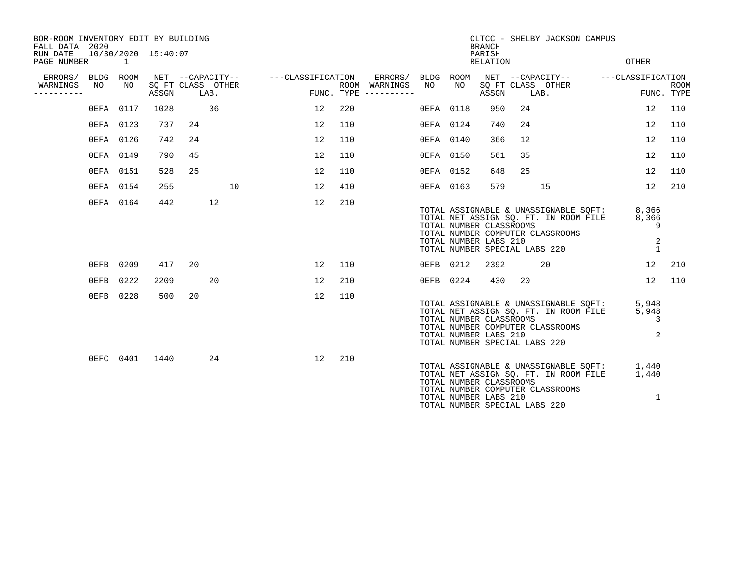| BOR-ROOM INVENTORY EDIT BY BUILDING<br>FALL DATA 2020 |          |           |                     |    |                                               |                   |     |                                                           |           |                                                  | <b>BRANCH</b>      |                               | CLTCC - SHELBY JACKSON CAMPUS                                                                                                                       |                               |                    |
|-------------------------------------------------------|----------|-----------|---------------------|----|-----------------------------------------------|-------------------|-----|-----------------------------------------------------------|-----------|--------------------------------------------------|--------------------|-------------------------------|-----------------------------------------------------------------------------------------------------------------------------------------------------|-------------------------------|--------------------|
| RUN DATE<br>PAGE NUMBER                               | $\sim$ 1 |           | 10/30/2020 15:40:07 |    |                                               |                   |     |                                                           |           |                                                  | PARISH<br>RELATION |                               |                                                                                                                                                     | <b>OTHER</b>                  |                    |
| ERRORS/ BLDG ROOM<br>WARNINGS<br>----------           | NO       | NO        | ASSGN               |    | NET --CAPACITY--<br>SQ FT CLASS OTHER<br>LAB. | ---CLASSIFICATION |     | ERRORS/ BLDG ROOM<br>ROOM WARNINGS<br>FUNC. TYPE $------$ | NO        | NO                                               | ASSGN              | SQ FT CLASS OTHER<br>LAB.     | NET --CAPACITY-- ---CLASSIFICATION                                                                                                                  |                               | ROOM<br>FUNC. TYPE |
|                                                       |          | 0EFA 0117 | 1028                |    | 36                                            | 12                | 220 |                                                           | 0EFA 0118 |                                                  | 950                | 24                            |                                                                                                                                                     | 12                            | 110                |
|                                                       |          | 0EFA 0123 | 737                 | 24 |                                               | 12                | 110 |                                                           | 0EFA 0124 |                                                  | 740                | 24                            |                                                                                                                                                     | 12                            | 110                |
|                                                       |          | 0EFA 0126 | 742                 | 24 |                                               | 12                | 110 |                                                           | 0EFA 0140 |                                                  | 366                | 12                            |                                                                                                                                                     | 12                            | 110                |
|                                                       |          | 0EFA 0149 | 790                 | 45 |                                               | 12                | 110 |                                                           | 0EFA 0150 |                                                  | 561                | 35                            |                                                                                                                                                     | 12                            | 110                |
|                                                       |          | 0EFA 0151 | 528                 | 25 |                                               | 12                | 110 |                                                           | 0EFA 0152 |                                                  | 648                | 25                            |                                                                                                                                                     | 12                            | 110                |
|                                                       |          | 0EFA 0154 | 255                 |    | 10                                            | 12                | 410 |                                                           | 0EFA 0163 |                                                  | 579                |                               | 15                                                                                                                                                  | 12                            | 210                |
|                                                       |          | 0EFA 0164 | 442                 |    | 12                                            | 12                | 210 |                                                           |           | TOTAL NUMBER CLASSROOMS<br>TOTAL NUMBER LABS 210 |                    |                               | TOTAL ASSIGNABLE & UNASSIGNABLE SQFT:<br>TOTAL NET ASSIGN SQ. FT. IN ROOM FILE<br>TOTAL NUMBER COMPUTER CLASSROOMS<br>TOTAL NUMBER SPECIAL LABS 220 | 8,366<br>8,366<br>9<br>2<br>1 |                    |
|                                                       |          | 0EFB 0209 | 417                 | 20 |                                               | 12                | 110 |                                                           |           | 0EFB 0212                                        | 2392               |                               | 20                                                                                                                                                  | 12                            | 210                |
|                                                       | $0$ EFB  | 0222      | 2209                |    | 20                                            | 12                | 210 |                                                           |           | 0EFB 0224                                        | 430                | 20                            |                                                                                                                                                     | 12                            | 110                |
|                                                       |          | 0EFB 0228 | 500                 | 20 |                                               | 12                | 110 |                                                           |           | TOTAL NUMBER CLASSROOMS<br>TOTAL NUMBER LABS 210 |                    | TOTAL NUMBER SPECIAL LABS 220 | TOTAL ASSIGNABLE & UNASSIGNABLE SQFT:<br>TOTAL NET ASSIGN SQ. FT. IN ROOM FILE<br>TOTAL NUMBER COMPUTER CLASSROOMS                                  | 5,948<br>5,948<br>3<br>2      |                    |
|                                                       |          | 0EFC 0401 | 1440                |    | 24                                            | 12                | 210 |                                                           |           | TOTAL NUMBER CLASSROOMS<br>TOTAL NUMBER LABS 210 |                    | TOTAL NUMBER SPECIAL LABS 220 | TOTAL ASSIGNABLE & UNASSIGNABLE SQFT:<br>TOTAL NET ASSIGN SQ. FT. IN ROOM FILE<br>TOTAL NUMBER COMPUTER CLASSROOMS                                  | 1,440<br>1,440<br>1           |                    |